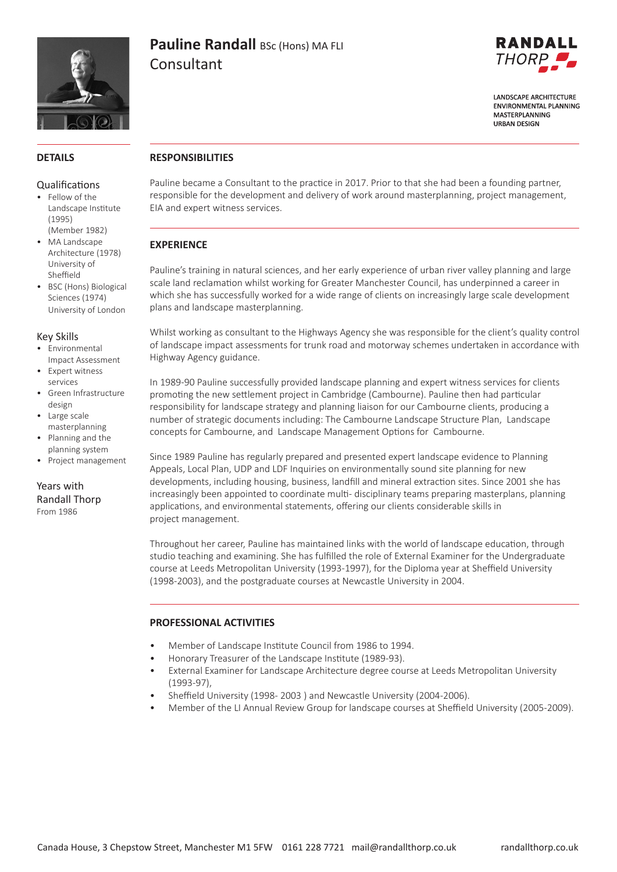

# **Pauline Randall BSc (Hons) MA FLI** Consultant



**LANDSCAPE ARCHITECTURE FNVIRONMENTAL PLANNING** MASTERPLANNING **URBAN DESIGN** 

#### **DETAILS**

#### Qualifications

- Fellow of the Landscape Institute (1995) (Member 1982)
- MA Landscape Architecture (1978) University of Sheffield
- BSC (Hons) Biological Sciences (1974) University of London

#### Key Skills

- Environmental Impact Assessment
- Expert witness services
- Green Infrastructure design
- Large scale masterplanning
- Planning and the planning system
- Project management

Years with Randall Thorp From 1986

#### **RESPONSIBILITIES**

Pauline became a Consultant to the practice in 2017. Prior to that she had been a founding partner, responsible for the development and delivery of work around masterplanning, project management, EIA and expert witness services.

## **EXPERIENCE**

Pauline's training in natural sciences, and her early experience of urban river valley planning and large scale land reclamation whilst working for Greater Manchester Council, has underpinned a career in which she has successfully worked for a wide range of clients on increasingly large scale development plans and landscape masterplanning.

Whilst working as consultant to the Highways Agency she was responsible for the client's quality control of landscape impact assessments for trunk road and motorway schemes undertaken in accordance with Highway Agency guidance.

In 1989-90 Pauline successfully provided landscape planning and expert witness services for clients promoting the new settlement project in Cambridge (Cambourne). Pauline then had particular responsibility for landscape strategy and planning liaison for our Cambourne clients, producing a number of strategic documents including: The Cambourne Landscape Structure Plan, Landscape concepts for Cambourne, and Landscape Management Options for Cambourne.

Since 1989 Pauline has regularly prepared and presented expert landscape evidence to Planning Appeals, Local Plan, UDP and LDF Inquiries on environmentally sound site planning for new developments, including housing, business, landfill and mineral extraction sites. Since 2001 she has increasingly been appointed to coordinate multi- disciplinary teams preparing masterplans, planning applications, and environmental statements, offering our clients considerable skills in project management.

Throughout her career, Pauline has maintained links with the world of landscape education, through studio teaching and examining. She has fulfilled the role of External Examiner for the Undergraduate course at Leeds Metropolitan University (1993-1997), for the Diploma year at Sheffield University (1998-2003), and the postgraduate courses at Newcastle University in 2004.

#### **PROFESSIONAL ACTIVITIES**

- Member of Landscape Institute Council from 1986 to 1994.
- Honorary Treasurer of the Landscape Institute (1989-93).
- External Examiner for Landscape Architecture degree course at Leeds Metropolitan University (1993-97),
- Sheffield University (1998- 2003 ) and Newcastle University (2004-2006).
- Member of the LI Annual Review Group for landscape courses at Sheffield University (2005-2009).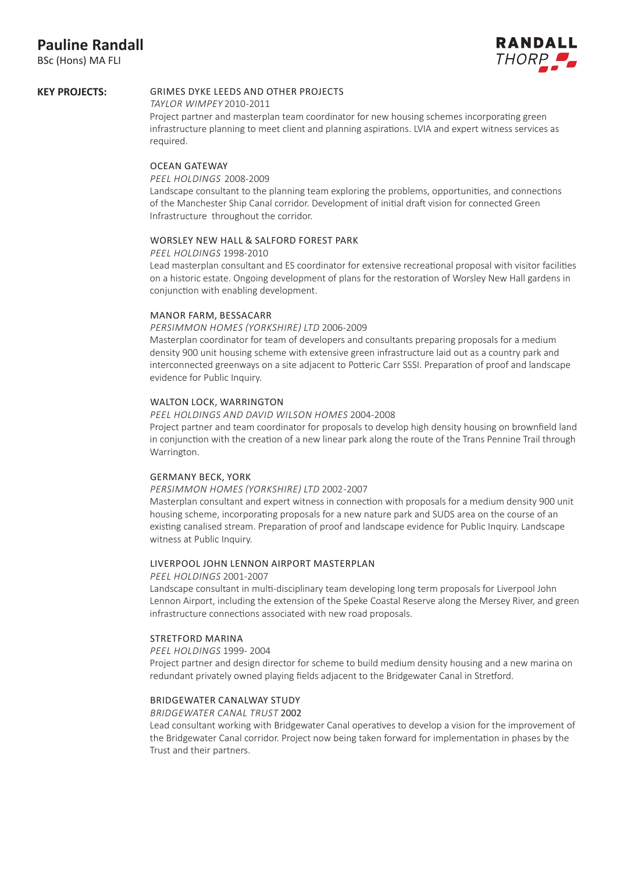## **Pauline Randall**

BSc (Hons) MA FLI



#### GRIMES DYKE LEEDS AND OTHER PROJECTS **KEY PROJECTS:**

#### *TAYLOR WIMPEY* 2010 -2011

Project partner and masterplan team coordinator for new housing schemes incorporating green infrastructure planning to meet client and planning aspirations. LVIA and expert witness services as required.

#### OCEAN GATEWAY

#### *PEEL HOLDINGS* 2008-2009

Landscape consultant to the planning team exploring the problems, opportunities, and connections of the Manchester Ship Canal corridor. Development of initial draft vision for connected Green Infrastructure throughout the corridor.

#### WORSLEY NEW HALL & SALFORD FOREST PARK

#### *PEEL HOLDINGS* 1998-2010

Lead masterplan consultant and ES coordinator for extensive recreational proposal with visitor facilities on a historic estate. Ongoing development of plans for the restoration of Worsley New Hall gardens in conjunction with enabling development.

#### MANOR FARM, BESSACARR

#### *PERSIMMON HOMES (YORKSHIRE) LTD* 2006-2009

Masterplan coordinator for team of developers and consultants preparing proposals for a medium density 900 unit housing scheme with extensive green infrastructure laid out as a country park and interconnected greenways on a site adjacent to Potteric Carr SSSI. Preparation of proof and landscape evidence for Public Inquiry.

#### WALTON LOCK, WARRINGTON

#### *PEEL HOLDINGS AND DAVID WILSON HOMES* 2004-2008

Project partner and team coordinator for proposals to develop high density housing on brownfield land in conjunction with the creation of a new linear park along the route of the Trans Pennine Trail through Warrington.

#### GERMANY BECK, YORK

#### *PERSIMMON HOMES (YORKSHIRE) LTD* 2002 -2007

Masterplan consultant and expert witness in connection with proposals for a medium density 900 unit housing scheme, incorporating proposals for a new nature park and SUDS area on the course of an existing canalised stream. Preparation of proof and landscape evidence for Public Inquiry. Landscape witness at Public Inquiry.

#### LIVERPOOL JOHN LENNON AIRPORT MASTERPLAN

#### *PEEL HOLDINGS* 2001-2007

Landscape consultant in multi-disciplinary team developing long term proposals for Liverpool John Lennon Airport, including the extension of the Speke Coastal Reserve along the Mersey River, and green infrastructure connections associated with new road proposals.

#### STRETFORD MARINA

#### *PEEL HOLDINGS* 1999- 2004

Project partner and design director for scheme to build medium density housing and a new marina on redundant privately owned playing fields adjacent to the Bridgewater Canal in Stretford.

#### BRIDGEWATER CANALWAY STUDY

#### *BRIDGEWATER CANAL TRUST* 2002

Lead consultant working with Bridgewater Canal operatives to develop a vision for the improvement of the Bridgewater Canal corridor. Project now being taken forward for implementation in phases by the Trust and their partners.